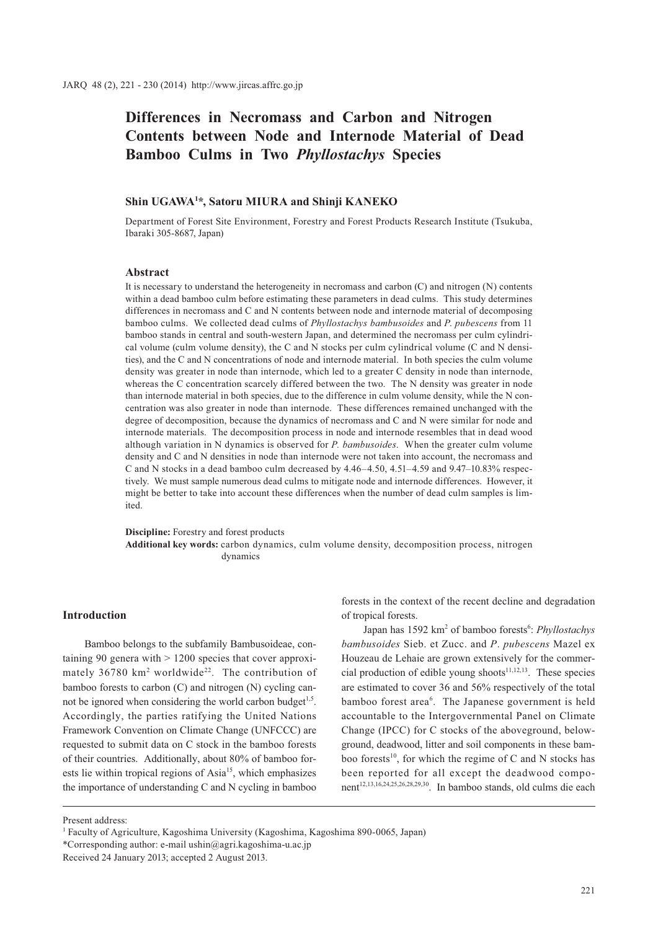# **Differences in Necromass and Carbon and Nitrogen Contents between Node and Internode Material of Dead Bamboo Culms in Two** *Phyllostachys* **Species**

# **Shin UGAWA1 \*, Satoru MIURA and Shinji KANEKO**

Department of Forest Site Environment, Forestry and Forest Products Research Institute (Tsukuba, Ibaraki 305-8687, Japan)

#### **Abstract**

It is necessary to understand the heterogeneity in necromass and carbon (C) and nitrogen (N) contents within a dead bamboo culm before estimating these parameters in dead culms. This study determines differences in necromass and C and N contents between node and internode material of decomposing bamboo culms. We collected dead culms of *Phyllostachys bambusoides* and *P*. *pubescens* from 11 bamboo stands in central and south-western Japan, and determined the necromass per culm cylindrical volume (culm volume density), the C and N stocks per culm cylindrical volume (C and N densities), and the C and N concentrations of node and internode material. In both species the culm volume density was greater in node than internode, which led to a greater C density in node than internode, whereas the C concentration scarcely differed between the two. The N density was greater in node than internode material in both species, due to the difference in culm volume density, while the N concentration was also greater in node than internode. These differences remained unchanged with the degree of decomposition, because the dynamics of necromass and C and N were similar for node and internode materials. The decomposition process in node and internode resembles that in dead wood although variation in N dynamics is observed for *P. bambusoides*. When the greater culm volume density and C and N densities in node than internode were not taken into account, the necromass and C and N stocks in a dead bamboo culm decreased by  $4.46-4.50$ ,  $4.51-4.59$  and  $9.47-10.83\%$  respectively. We must sample numerous dead culms to mitigate node and internode differences. However, it might be better to take into account these differences when the number of dead culm samples is limited.

**Discipline:** Forestry and forest products **Additional key words:** carbon dynamics, culm volume density, decomposition process, nitrogen dynamics

## **Introduction**

Bamboo belongs to the subfamily Bambusoideae, containing 90 genera with > 1200 species that cover approximately 36780 km<sup>2</sup> worldwide<sup>22</sup>. The contribution of bamboo forests to carbon (C) and nitrogen (N) cycling cannot be ignored when considering the world carbon budget<sup> $1,5$ </sup>. Accordingly, the parties ratifying the United Nations Framework Convention on Climate Change (UNFCCC) are requested to submit data on C stock in the bamboo forests of their countries. Additionally, about 80% of bamboo forests lie within tropical regions of  $Asia<sup>15</sup>$ , which emphasizes the importance of understanding C and N cycling in bamboo

forests in the context of the recent decline and degradation of tropical forests.

Japan has 1592 km<sup>2</sup> of bamboo forests<sup>6</sup>: *Phyllostachys bambusoides* Sieb. et Zucc. and *P*. *pubescens* Mazel ex Houzeau de Lehaie are grown extensively for the commercial production of edible young shoots $11,12,13$ . These species are estimated to cover 36 and 56% respectively of the total bamboo forest area<sup>6</sup>. The Japanese government is held accountable to the Intergovernmental Panel on Climate Change (IPCC) for C stocks of the aboveground, belowground, deadwood, litter and soil components in these bamboo forests<sup>10</sup>, for which the regime of C and N stocks has been reported for all except the deadwood component<sup>12,13,16,24,25,26,28,29,30</sup>. In bamboo stands, old culms die each

Present address:

<sup>&</sup>lt;sup>1</sup> Faculty of Agriculture, Kagoshima University (Kagoshima, Kagoshima 890-0065, Japan)

<sup>\*</sup>Corresponding author: e-mail ushin@agri.kagoshima-u.ac.jp

Received 24 January 2013; accepted 2 August 2013.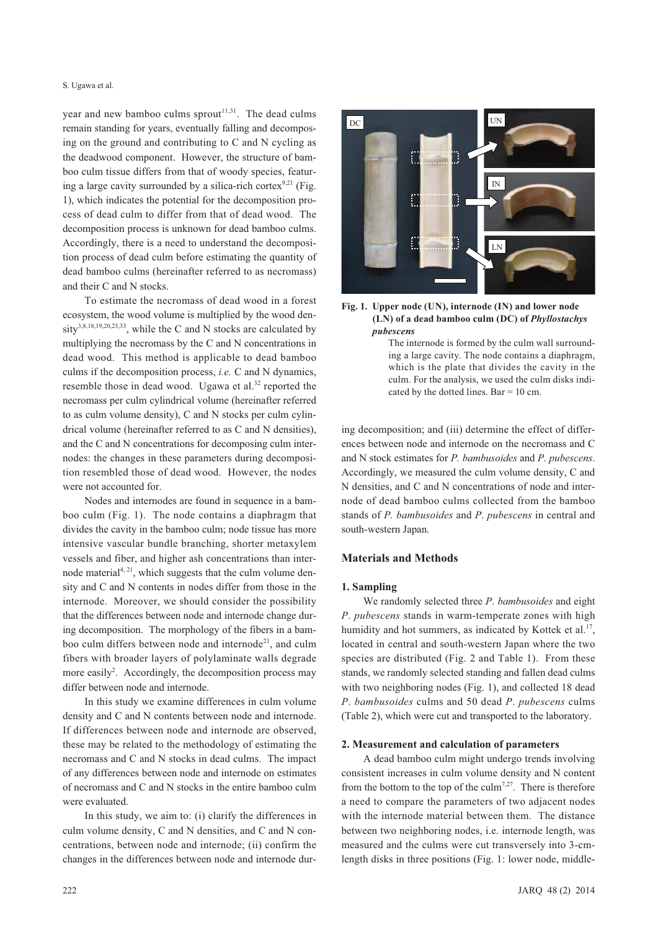year and new bamboo culms sprout<sup>11,31</sup>. The dead culms remain standing for years, eventually falling and decomposing on the ground and contributing to C and N cycling as the deadwood component. However, the structure of bamboo culm tissue differs from that of woody species, featuring a large cavity surrounded by a silica-rich cortex<sup>9,21</sup> (Fig. 1), which indicates the potential for the decomposition process of dead culm to differ from that of dead wood. The decomposition process is unknown for dead bamboo culms. Accordingly, there is a need to understand the decomposition process of dead culm before estimating the quantity of dead bamboo culms (hereinafter referred to as necromass) and their C and N stocks.

To estimate the necromass of dead wood in a forest ecosystem, the wood volume is multiplied by the wood density<sup>3,8,18,19,20,23,33</sup>, while the C and N stocks are calculated by multiplying the necromass by the C and N concentrations in dead wood. This method is applicable to dead bamboo culms if the decomposition process, *i.e.* C and N dynamics, resemble those in dead wood. Ugawa et al.<sup>32</sup> reported the necromass per culm cylindrical volume (hereinafter referred to as culm volume density), C and N stocks per culm cylindrical volume (hereinafter referred to as C and N densities), and the C and N concentrations for decomposing culm internodes: the changes in these parameters during decomposition resembled those of dead wood. However, the nodes were not accounted for.

Nodes and internodes are found in sequence in a bamboo culm (Fig. 1). The node contains a diaphragm that divides the cavity in the bamboo culm; node tissue has more intensive vascular bundle branching, shorter metaxylem vessels and fiber, and higher ash concentrations than internode material $4, 21$ , which suggests that the culm volume density and C and N contents in nodes differ from those in the internode. Moreover, we should consider the possibility that the differences between node and internode change during decomposition. The morphology of the fibers in a bamboo culm differs between node and internode<sup>21</sup>, and culm fibers with broader layers of polylaminate walls degrade more easily<sup>2</sup>. Accordingly, the decomposition process may differ between node and internode.

In this study we examine differences in culm volume density and C and N contents between node and internode. If differences between node and internode are observed, these may be related to the methodology of estimating the necromass and C and N stocks in dead culms. The impact of any differences between node and internode on estimates of necromass and C and N stocks in the entire bamboo culm were evaluated.

In this study, we aim to: (i) clarify the differences in culm volume density, C and N densities, and C and N concentrations, between node and internode; (ii) confirm the changes in the differences between node and internode dur-





The internode is formed by the culm wall surrounding a large cavity. The node contains a diaphragm, which is the plate that divides the cavity in the culm. For the analysis, we used the culm disks indicated by the dotted lines. Bar = 10 cm.

ing decomposition; and (iii) determine the effect of differences between node and internode on the necromass and C and N stock estimates for *P. bambusoides* and *P. pubescens*. Accordingly, we measured the culm volume density, C and N densities, and C and N concentrations of node and internode of dead bamboo culms collected from the bamboo stands of *P. bambusoides* and *P*. *pubescens* in central and south-western Japan.

## **Materials and Methods**

# **1. Sampling**

We randomly selected three *P*. *bambusoides* and eight *P*. *pubescens* stands in warm-temperate zones with high humidity and hot summers, as indicated by Kottek et al.<sup>17</sup>, located in central and south-western Japan where the two species are distributed (Fig. 2 and Table 1). From these stands, we randomly selected standing and fallen dead culms with two neighboring nodes (Fig. 1), and collected 18 dead *P*. *bambusoides* culms and 50 dead *P*. *pubescens* culms (Table 2), which were cut and transported to the laboratory.

#### **2. Measurement and calculation of parameters**

A dead bamboo culm might undergo trends involving consistent increases in culm volume density and N content from the bottom to the top of the culm<sup>7,27</sup>. There is therefore a need to compare the parameters of two adjacent nodes with the internode material between them. The distance between two neighboring nodes, i.e. internode length, was measured and the culms were cut transversely into 3-cmlength disks in three positions (Fig. 1: lower node, middle-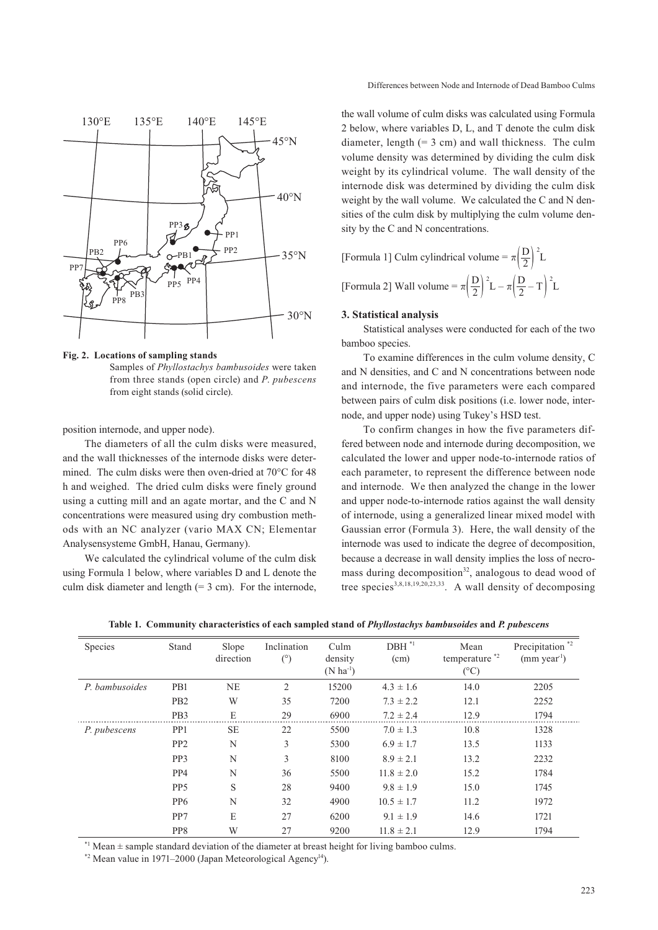

**Fig. 2. Locations of sampling stands** Samples of *Phyllostachys bambusoides* were taken from three stands (open circle) and *P*. *pubescens* from eight stands (solid circle).

position internode, and upper node).

The diameters of all the culm disks were measured, and the wall thicknesses of the internode disks were determined. The culm disks were then oven-dried at 70°C for 48 h and weighed. The dried culm disks were finely ground using a cutting mill and an agate mortar, and the C and N concentrations were measured using dry combustion methods with an NC analyzer (vario MAX CN; Elementar Analysensysteme GmbH, Hanau, Germany).

We calculated the cylindrical volume of the culm disk using Formula 1 below, where variables D and L denote the culm disk diameter and length  $(= 3 \text{ cm})$ . For the internode,

the wall volume of culm disks was calculated using Formula 2 below, where variables D, L, and T denote the culm disk diameter, length  $(= 3 \text{ cm})$  and wall thickness. The culm volume density was determined by dividing the culm disk weight by its cylindrical volume. The wall density of the internode disk was determined by dividing the culm disk weight by the wall volume. We calculated the C and N densities of the culm disk by multiplying the culm volume density by the C and N concentrations.

[Formula 1] Culm cylindrical volume =  $\pi \left(\frac{D}{2}\right)^2 L$ [Formula 2] Wall volume =  $\pi \left(\frac{D}{2}\right)^2 L - \pi \left(\frac{D}{2} - T\right)^2 L$ 

#### **3. Statistical analysis**

Statistical analyses were conducted for each of the two bamboo species.

To examine differences in the culm volume density, C and N densities, and C and N concentrations between node and internode, the five parameters were each compared between pairs of culm disk positions (i.e. lower node, internode, and upper node) using Tukey's HSD test.

To confirm changes in how the five parameters differed between node and internode during decomposition, we calculated the lower and upper node-to-internode ratios of each parameter, to represent the difference between node and internode. We then analyzed the change in the lower and upper node-to-internode ratios against the wall density of internode, using a generalized linear mixed model with Gaussian error (Formula 3). Here, the wall density of the internode was used to indicate the degree of decomposition, because a decrease in wall density implies the loss of necromass during decomposition<sup>32</sup>, analogous to dead wood of tree species<sup>3,8,18,19,20,23,33</sup>. A wall density of decomposing

| Species        | Stand           | Slope<br>direction | Inclination<br>$(^\circ)$ | Culm<br>density<br>$(N \text{ ha}^{-1})$ | $DBH^*{}^1$<br>(cm) | Mean<br>temperature <sup>*2</sup><br>$(^{\circ}C)$ | Precipitation <sup>*2</sup><br>$(mm \text{ year}^1)$ |
|----------------|-----------------|--------------------|---------------------------|------------------------------------------|---------------------|----------------------------------------------------|------------------------------------------------------|
| P. bambusoides | P <sub>B1</sub> | NE                 | 2                         | 15200                                    | $4.3 \pm 1.6$       | 14.0                                               | 2205                                                 |
|                | P <sub>B2</sub> | W                  | 35                        | 7200                                     | $7.3 \pm 2.2$       | 12.1                                               | 2252                                                 |
|                | PB <sub>3</sub> | E                  | 29                        | 6900                                     | $7.2 \pm 2.4$       | 12.9                                               | 1794                                                 |
| P. pubescens   | PP <sub>1</sub> | <b>SE</b>          | 22                        | 5500                                     | $7.0 \pm 1.3$       | 10.8                                               | 1328                                                 |
|                | PP <sub>2</sub> | N                  | 3                         | 5300                                     | $6.9 \pm 1.7$       | 13.5                                               | 1133                                                 |
|                | PP <sub>3</sub> | N                  | 3                         | 8100                                     | $8.9 \pm 2.1$       | 13.2                                               | 2232                                                 |
|                | PP <sub>4</sub> | N                  | 36                        | 5500                                     | $11.8 \pm 2.0$      | 15.2                                               | 1784                                                 |
|                | PP <sub>5</sub> | S                  | 28                        | 9400                                     | $9.8 \pm 1.9$       | 15.0                                               | 1745                                                 |
|                | PP <sub>6</sub> | N                  | 32                        | 4900                                     | $10.5 \pm 1.7$      | 11.2                                               | 1972                                                 |
|                | PP7             | E                  | 27                        | 6200                                     | $9.1 \pm 1.9$       | 14.6                                               | 1721                                                 |
|                | PP8             | W                  | 27                        | 9200                                     | $11.8 \pm 2.1$      | 12.9                                               | 1794                                                 |

**Table 1. Community characteristics of each sampled stand of** *Phyllostachys bambusoides* **and** *P. pubescens*

 $*1$  Mean  $\pm$  sample standard deviation of the diameter at breast height for living bamboo culms.

\*2 Mean value in 1971–2000 (Japan Meteorological Agency14).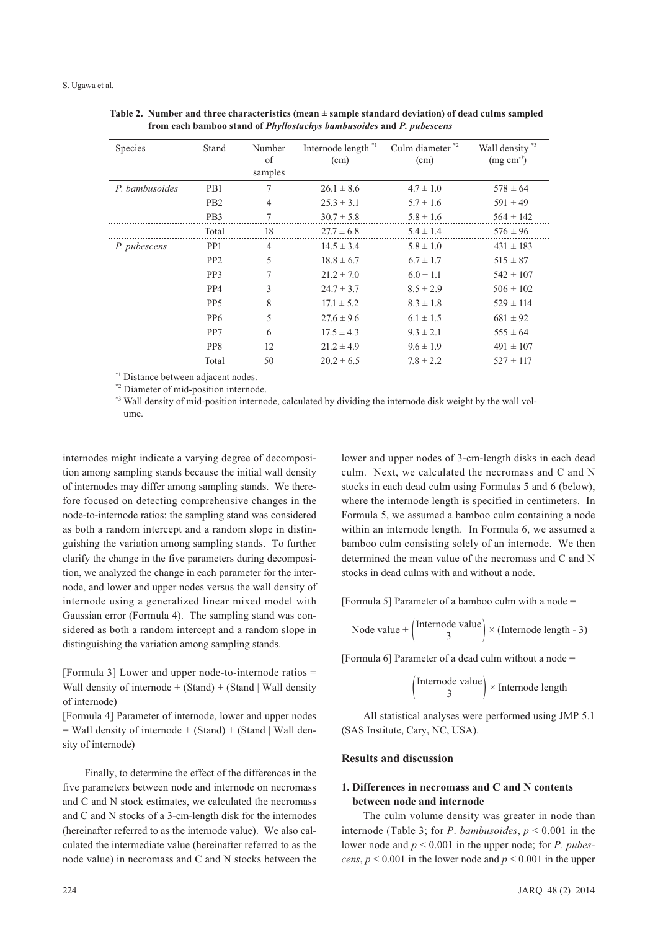| <b>Species</b> | Stand            | Number<br>of<br>samples | Internode length *1<br>(cm) | Culm diameter <sup>*2</sup><br>(cm) | Wall density *3<br>$(mg cm-3)$ |
|----------------|------------------|-------------------------|-----------------------------|-------------------------------------|--------------------------------|
| P. bambusoides | P <sub>B1</sub>  | 7                       | $26.1 \pm 8.6$              | $4.7 \pm 1.0$                       | $578 \pm 64$                   |
|                | P <sub>B2</sub>  | $\overline{4}$          | $25.3 \pm 3.1$              | $5.7 \pm 1.6$                       | $591 \pm 49$                   |
|                | P <sub>B</sub> 3 | 7                       | $30.7 \pm 5.8$              | $5.8 \pm 1.6$                       | $564 \pm 142$                  |
|                | Total            | 18                      | $27.7 \pm 6.8$              | $5.4 \pm 1.4$                       | $576 \pm 96$                   |
| P. pubescens   | PP1              | $\overline{4}$          | $14.5 \pm 3.4$              | $5.8 \pm 1.0$                       | $431 \pm 183$                  |
|                | PP <sub>2</sub>  | 5                       | $18.8 \pm 6.7$              | $6.7 \pm 1.7$                       | $515 \pm 87$                   |
|                | PP <sub>3</sub>  | 7                       | $21.2 \pm 7.0$              | $6.0 \pm 1.1$                       | $542 \pm 107$                  |
|                | PP <sub>4</sub>  | 3                       | $24.7 \pm 3.7$              | $8.5 \pm 2.9$                       | $506 \pm 102$                  |
|                | PP <sub>5</sub>  | 8                       | $17.1 \pm 5.2$              | $8.3 \pm 1.8$                       | $529 \pm 114$                  |
|                | PP <sub>6</sub>  | 5                       | $27.6 \pm 9.6$              | $6.1 \pm 1.5$                       | $681 \pm 92$                   |
|                | PP7              | 6                       | $17.5 \pm 4.3$              | $9.3 \pm 2.1$                       | $555 \pm 64$                   |
|                | PP8              | 12                      | $21.2 \pm 4.9$              | $9.6 \pm 1.9$                       | $491 \pm 107$                  |
|                | Total            | 50                      | $20.2 \pm 6.5$              | $7.8 \pm 2.2$                       | $527 \pm 117$                  |

**Table 2. Number and three characteristics (mean ± sample standard deviation) of dead culms sampled from each bamboo stand of** *Phyllostachys bambusoides* **and** *P. pubescens*

\*1 Distance between adjacent nodes.

\*2 Diameter of mid-position internode.

\*3 Wall density of mid-position internode, calculated by dividing the internode disk weight by the wall volume.

internodes might indicate a varying degree of decomposition among sampling stands because the initial wall density of internodes may differ among sampling stands. We therefore focused on detecting comprehensive changes in the node-to-internode ratios: the sampling stand was considered as both a random intercept and a random slope in distinguishing the variation among sampling stands. To further clarify the change in the five parameters during decomposition, we analyzed the change in each parameter for the internode, and lower and upper nodes versus the wall density of internode using a generalized linear mixed model with Gaussian error (Formula 4). The sampling stand was considered as both a random intercept and a random slope in distinguishing the variation among sampling stands.

[Formula 3] Lower and upper node-to-internode ratios = Wall density of internode  $+$  (Stand)  $+$  (Stand | Wall density of internode)

[Formula 4] Parameter of internode, lower and upper nodes  $=$  Wall density of internode  $+$  (Stand)  $+$  (Stand | Wall density of internode)

Finally, to determine the effect of the differences in the five parameters between node and internode on necromass and C and N stock estimates, we calculated the necromass and C and N stocks of a 3-cm-length disk for the internodes (hereinafter referred to as the internode value). We also calculated the intermediate value (hereinafter referred to as the node value) in necromass and C and N stocks between the

lower and upper nodes of 3-cm-length disks in each dead culm. Next, we calculated the necromass and C and N stocks in each dead culm using Formulas 5 and 6 (below), where the internode length is specified in centimeters. In Formula 5, we assumed a bamboo culm containing a node within an internode length. In Formula 6, we assumed a bamboo culm consisting solely of an internode. We then determined the mean value of the necromass and C and N stocks in dead culms with and without a node.

[Formula 5] Parameter of a bamboo culm with a node =

Node value + 
$$
\left(\frac{\text{Internode value}}{3}\right) \times \text{(Internode length - 3)}
$$

[Formula 6] Parameter of a dead culm without a node =

$$
\left(\frac{\text{Internode value}}{3}\right) \times \text{Internode length}
$$

All statistical analyses were performed using JMP 5.1 (SAS Institute, Cary, NC, USA).

# **Results and discussion**

# **1. Differences in necromass and C and N contents between node and internode**

The culm volume density was greater in node than internode (Table 3; for *P*. *bambusoides*, *p* < 0.001 in the lower node and *p* < 0.001 in the upper node; for *P*. *pubescens*,  $p \le 0.001$  in the lower node and  $p \le 0.001$  in the upper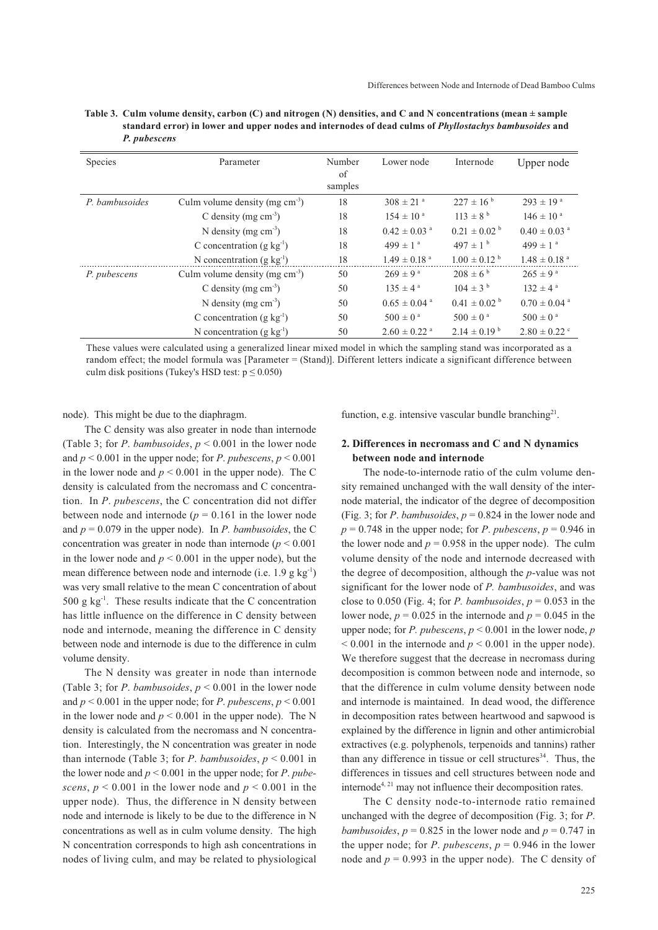| Species        | Parameter                           |         | Lower node                   | Internode                    | Upper node                   |
|----------------|-------------------------------------|---------|------------------------------|------------------------------|------------------------------|
|                |                                     | of      |                              |                              |                              |
|                |                                     | samples |                              |                              |                              |
| P. bambusoides | Culm volume density (mg $cm^{-3}$ ) | 18      | $308 \pm 21$ <sup>a</sup>    | $227 \pm 16^{b}$             | $293 \pm 19^{a}$             |
|                | C density (mg $cm-3$ )              | 18      | $154 \pm 10^{a}$             | $113 \pm 8^{\text{b}}$       | $146 \pm 10^{a}$             |
|                | N density (mg $\text{cm}^3$ )       | 18      | $0.42 \pm 0.03$ <sup>a</sup> | $0.21 \pm 0.02^{\text{ b}}$  | $0.40 \pm 0.03$ <sup>a</sup> |
|                | C concentration (g $kg^{-1}$ )      | 18      | 499 $\pm$ 1 <sup>a</sup>     | $497 \pm 1^{b}$              | $499 \pm 1^{a}$              |
|                | N concentration $(g \, kg^{-1})$    | 18      | $1.49 \pm 0.18$ <sup>a</sup> | $1.00 \pm 0.12$ <sup>b</sup> | $1.48 \pm 0.18$ <sup>a</sup> |
| P. pubescens   | Culm volume density (mg $cm-3$ )    | 50      | $269 \pm 9^{\text{ a}}$      | $208 \pm 6^{b}$              | $265 \pm 9^{\text{ a}}$      |
|                | C density (mg $cm3$ )               | 50      | $135 \pm 4^{\circ}$          | $104 \pm 3^{\circ}$          | $132 \pm 4^{\text{a}}$       |
|                | N density (mg $cm-3$ )              | 50      | $0.65 \pm 0.04$ <sup>a</sup> | $0.41 \pm 0.02^{\text{ b}}$  | $0.70 \pm 0.04$ <sup>a</sup> |
|                | C concentration (g $kg^{-1}$ )      | 50      | $500 \pm 0^{\text{ a}}$      | $500 \pm 0^{\text{ a}}$      | $500 \pm 0^{\text{a}}$       |
|                | N concentration $(g \, kg^{-1})$    | 50      | $2.60 \pm 0.22$ <sup>a</sup> | $2.14 \pm 0.19^{\text{ b}}$  | $2.80 \pm 0.22$ °            |

**Table 3. Culm volume density, carbon (C) and nitrogen (N) densities, and C and N concentrations (mean ± sample standard error) in lower and upper nodes and internodes of dead culms of** *Phyllostachys bambusoides* **and**  *P. pubescens*

These values were calculated using a generalized linear mixed model in which the sampling stand was incorporated as a random effect; the model formula was [Parameter = (Stand)]. Different letters indicate a significant difference between culm disk positions (Tukey's HSD test:  $p \le 0.050$ )

node). This might be due to the diaphragm.

The C density was also greater in node than internode (Table 3; for P. *bambusoides*,  $p \le 0.001$  in the lower node and  $p \le 0.001$  in the upper node; for *P*. *pubescens*,  $p \le 0.001$ in the lower node and  $p < 0.001$  in the upper node). The C density is calculated from the necromass and C concentration. In *P*. *pubescens*, the C concentration did not differ between node and internode ( $p = 0.161$  in the lower node and  $p = 0.079$  in the upper node). In *P. bambusoides*, the C concentration was greater in node than internode  $(p < 0.001)$ in the lower node and  $p < 0.001$  in the upper node), but the mean difference between node and internode (i.e. 1.9 g kg<sup>-1</sup>) was very small relative to the mean C concentration of about 500 g  $kg^{-1}$ . These results indicate that the C concentration has little influence on the difference in C density between node and internode, meaning the difference in C density between node and internode is due to the difference in culm volume density.

The N density was greater in node than internode (Table 3; for *P. bambusoides*,  $p < 0.001$  in the lower node and  $p \le 0.001$  in the upper node; for *P*. *pubescens*,  $p \le 0.001$ in the lower node and  $p \le 0.001$  in the upper node). The N density is calculated from the necromass and N concentration. Interestingly, the N concentration was greater in node than internode (Table 3; for *P. bambusoides*,  $p < 0.001$  in the lower node and  $p < 0.001$  in the upper node; for *P*. *pubescens*,  $p \le 0.001$  in the lower node and  $p \le 0.001$  in the upper node). Thus, the difference in N density between node and internode is likely to be due to the difference in N concentrations as well as in culm volume density. The high N concentration corresponds to high ash concentrations in nodes of living culm, and may be related to physiological function, e.g. intensive vascular bundle branching<sup>21</sup>.

# **2. Differences in necromass and C and N dynamics between node and internode**

The node-to-internode ratio of the culm volume density remained unchanged with the wall density of the internode material, the indicator of the degree of decomposition (Fig. 3; for *P. bambusoides,*  $p = 0.824$  *in the lower node and*  $p = 0.748$  in the upper node; for *P*. *pubescens*,  $p = 0.946$  in the lower node and  $p = 0.958$  in the upper node). The culm volume density of the node and internode decreased with the degree of decomposition, although the *p*-value was not significant for the lower node of *P. bambusoides*, and was close to 0.050 (Fig. 4; for *P. bambusoides*,  $p = 0.053$  in the lower node,  $p = 0.025$  in the internode and  $p = 0.045$  in the upper node; for *P. pubescens*, *p* < 0.001 in the lower node, *p*  $< 0.001$  in the internode and  $p < 0.001$  in the upper node). We therefore suggest that the decrease in necromass during decomposition is common between node and internode, so that the difference in culm volume density between node and internode is maintained. In dead wood, the difference in decomposition rates between heartwood and sapwood is explained by the difference in lignin and other antimicrobial extractives (e.g. polyphenols, terpenoids and tannins) rather than any difference in tissue or cell structures<sup>34</sup>. Thus, the differences in tissues and cell structures between node and internode<sup> $4, 21$ </sup> may not influence their decomposition rates.

The C density node-to-internode ratio remained unchanged with the degree of decomposition (Fig. 3; for *P*. *bambusoides,*  $p = 0.825$  *in the lower node and*  $p = 0.747$  *in* the upper node; for *P. pubescens*,  $p = 0.946$  in the lower node and  $p = 0.993$  in the upper node). The C density of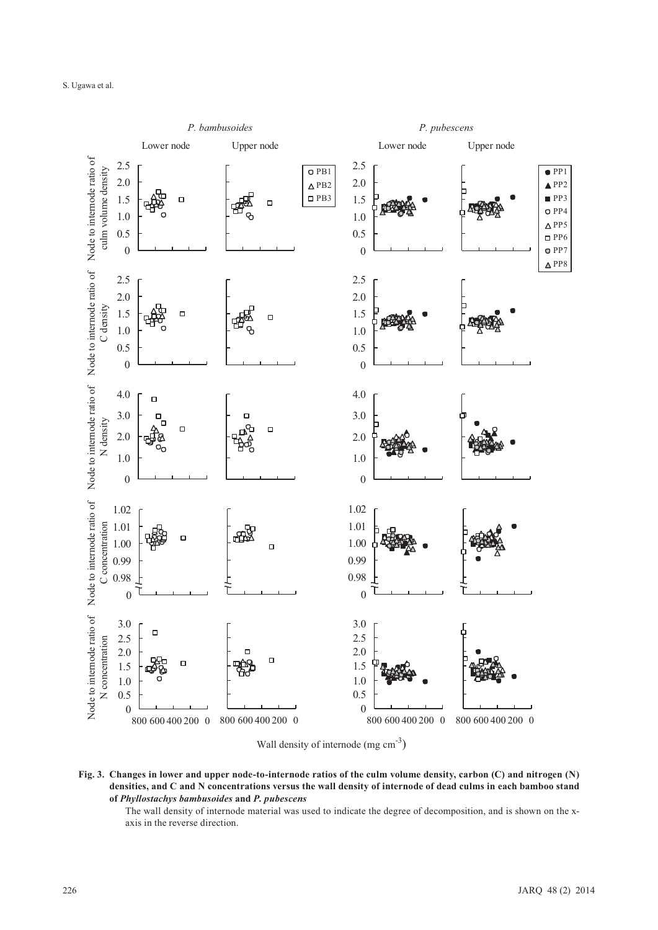

**Fig. 3. Changes in lower and upper node-to-internode ratios of the culm volume density, carbon (C) and nitrogen (N) densities, and C and N concentrations versus the wall density of internode of dead culms in each bamboo stand of** *Phyllostachys bambusoides* **and** *P. pubescens*

The wall density of internode material was used to indicate the degree of decomposition, and is shown on the xaxis in the reverse direction.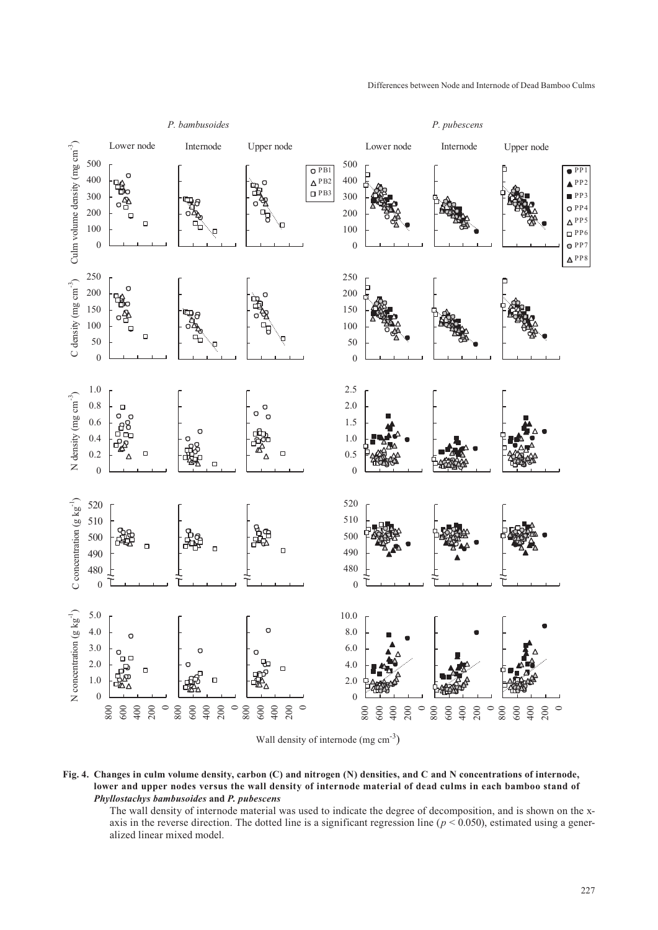

**Fig. 4. Changes in culm volume density, carbon (C) and nitrogen (N) densities, and C and N concentrations of internode, lower and upper nodes versus the wall density of internode material of dead culms in each bamboo stand of**  *Phyllostachys bambusoides* **and** *P. pubescens*

The wall density of internode material was used to indicate the degree of decomposition, and is shown on the xaxis in the reverse direction. The dotted line is a significant regression line ( $p < 0.050$ ), estimated using a generalized linear mixed model.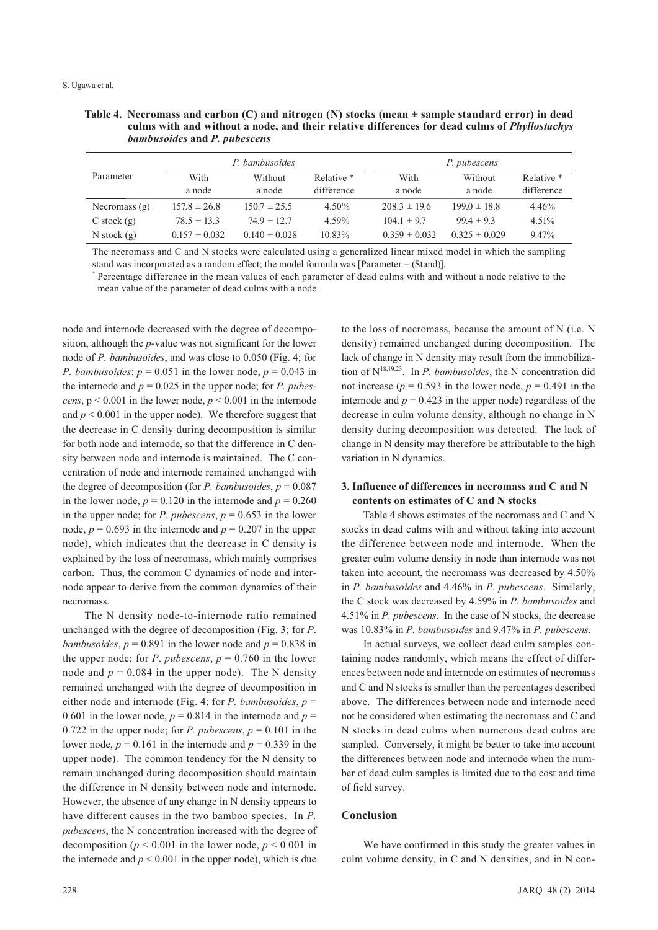| Table 4. Necromass and carbon (C) and nitrogen (N) stocks (mean $\pm$ sample standard error) in dead |
|------------------------------------------------------------------------------------------------------|
| culms with and without a node, and their relative differences for dead culms of <i>Phyllostachys</i> |
| bambusoides and P. pubescens                                                                         |

|                 |                   | P. bambusoides    |            | P. pubescens      |                   |            |  |
|-----------------|-------------------|-------------------|------------|-------------------|-------------------|------------|--|
| Parameter       | With              | Without           | Relative * | With              | Without           | Relative * |  |
|                 | a node            | a node            | difference | a node            | a node            | difference |  |
| Necromass $(g)$ | $157.8 \pm 26.8$  | $150.7 \pm 25.5$  | $4.50\%$   | $208.3 \pm 19.6$  | $199.0 \pm 18.8$  | 4.46%      |  |
| $C$ stock $(g)$ | $78.5 \pm 13.3$   | $74.9 \pm 12.7$   | 4.59%      | $104.1 \pm 9.7$   | $99.4 \pm 9.3$    | $4.51\%$   |  |
| N stock $(g)$   | $0.157 \pm 0.032$ | $0.140 \pm 0.028$ | $10.83\%$  | $0.359 \pm 0.032$ | $0.325 \pm 0.029$ | $9.47\%$   |  |

The necromass and C and N stocks were calculated using a generalized linear mixed model in which the sampling stand was incorporated as a random effect; the model formula was [Parameter = (Stand)].

\* Percentage difference in the mean values of each parameter of dead culms with and without a node relative to the mean value of the parameter of dead culms with a node.

node and internode decreased with the degree of decomposition, although the *p*-value was not significant for the lower node of *P. bambusoides*, and was close to 0.050 (Fig. 4; for *P. bambusoides:*  $p = 0.051$  in the lower node,  $p = 0.043$  in the internode and  $p = 0.025$  in the upper node; for *P. pubescens*,  $p < 0.001$  in the lower node,  $p < 0.001$  in the internode and  $p < 0.001$  in the upper node). We therefore suggest that the decrease in C density during decomposition is similar for both node and internode, so that the difference in C density between node and internode is maintained. The C concentration of node and internode remained unchanged with the degree of decomposition (for *P. bambusoides*,  $p = 0.087$ in the lower node,  $p = 0.120$  in the internode and  $p = 0.260$ in the upper node; for *P. pubescens*,  $p = 0.653$  in the lower node,  $p = 0.693$  in the internode and  $p = 0.207$  in the upper node), which indicates that the decrease in C density is explained by the loss of necromass, which mainly comprises carbon. Thus, the common C dynamics of node and internode appear to derive from the common dynamics of their necromass.

The N density node-to-internode ratio remained unchanged with the degree of decomposition (Fig. 3; for *P*. *bambusoides,*  $p = 0.891$  *in the lower node and*  $p = 0.838$  *in* the upper node; for *P*. *pubescens*,  $p = 0.760$  in the lower node and  $p = 0.084$  in the upper node). The N density remained unchanged with the degree of decomposition in either node and internode (Fig. 4; for *P. bambusoides*, *p* = 0.601 in the lower node,  $p = 0.814$  in the internode and  $p =$ 0.722 in the upper node; for *P. pubescens*,  $p = 0.101$  in the lower node,  $p = 0.161$  in the internode and  $p = 0.339$  in the upper node). The common tendency for the N density to remain unchanged during decomposition should maintain the difference in N density between node and internode. However, the absence of any change in N density appears to have different causes in the two bamboo species. In *P. pubescens*, the N concentration increased with the degree of decomposition ( $p < 0.001$  in the lower node,  $p < 0.001$  in the internode and  $p < 0.001$  in the upper node), which is due

to the loss of necromass, because the amount of N (i.e. N density) remained unchanged during decomposition. The lack of change in N density may result from the immobilization of N18,19,23. In *P. bambusoides*, the N concentration did not increase ( $p = 0.593$  in the lower node,  $p = 0.491$  in the internode and  $p = 0.423$  in the upper node) regardless of the decrease in culm volume density, although no change in N density during decomposition was detected. The lack of change in N density may therefore be attributable to the high variation in N dynamics.

# **3. Influence of differences in necromass and C and N contents on estimates of C and N stocks**

Table 4 shows estimates of the necromass and C and N stocks in dead culms with and without taking into account the difference between node and internode. When the greater culm volume density in node than internode was not taken into account, the necromass was decreased by 4.50% in *P. bambusoides* and 4.46% in *P. pubescens*. Similarly, the C stock was decreased by 4.59% in *P. bambusoides* and 4.51% in *P. pubescens*. In the case of N stocks, the decrease was 10.83% in *P. bambusoides* and 9.47% in *P. pubescens*.

In actual surveys, we collect dead culm samples containing nodes randomly, which means the effect of differences between node and internode on estimates of necromass and C and N stocks is smaller than the percentages described above. The differences between node and internode need not be considered when estimating the necromass and C and N stocks in dead culms when numerous dead culms are sampled. Conversely, it might be better to take into account the differences between node and internode when the number of dead culm samples is limited due to the cost and time of field survey.

# **Conclusion**

We have confirmed in this study the greater values in culm volume density, in C and N densities, and in N con-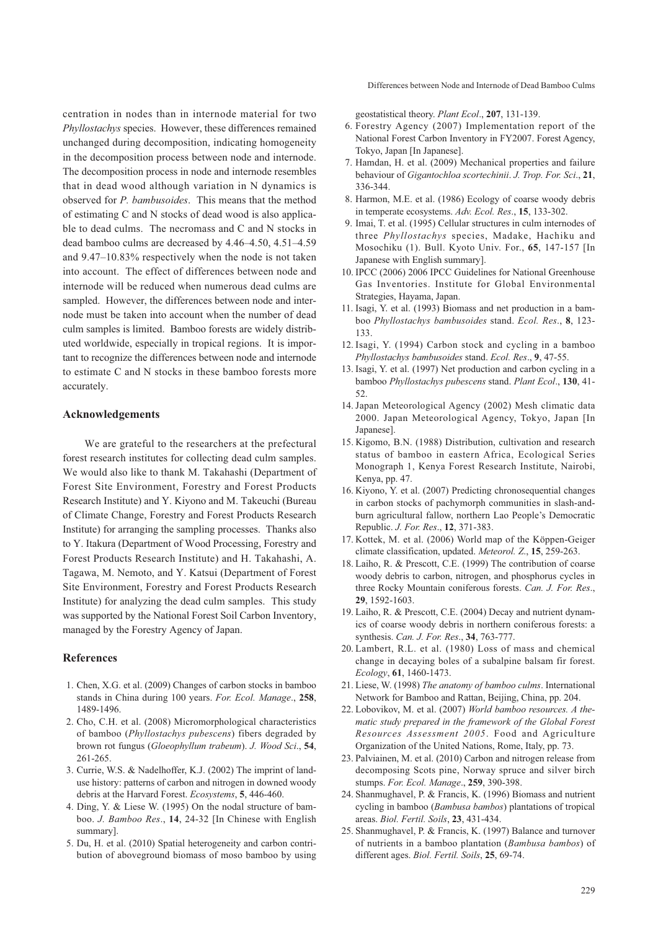centration in nodes than in internode material for two *Phyllostachys* species. However, these differences remained unchanged during decomposition, indicating homogeneity in the decomposition process between node and internode. The decomposition process in node and internode resembles that in dead wood although variation in N dynamics is observed for *P. bambusoides*. This means that the method of estimating C and N stocks of dead wood is also applicable to dead culms. The necromass and C and N stocks in dead bamboo culms are decreased by 4.46–4.50, 4.51–4.59 and 9.47–10.83% respectively when the node is not taken into account. The effect of differences between node and internode will be reduced when numerous dead culms are sampled. However, the differences between node and internode must be taken into account when the number of dead culm samples is limited. Bamboo forests are widely distributed worldwide, especially in tropical regions. It is important to recognize the differences between node and internode to estimate C and N stocks in these bamboo forests more accurately.

#### **Acknowledgements**

We are grateful to the researchers at the prefectural forest research institutes for collecting dead culm samples. We would also like to thank M. Takahashi (Department of Forest Site Environment, Forestry and Forest Products Research Institute) and Y. Kiyono and M. Takeuchi (Bureau of Climate Change, Forestry and Forest Products Research Institute) for arranging the sampling processes. Thanks also to Y. Itakura (Department of Wood Processing, Forestry and Forest Products Research Institute) and H. Takahashi, A. Tagawa, M. Nemoto, and Y. Katsui (Department of Forest Site Environment, Forestry and Forest Products Research Institute) for analyzing the dead culm samples. This study was supported by the National Forest Soil Carbon Inventory, managed by the Forestry Agency of Japan.

## **References**

- 1. Chen, X.G. et al. (2009) Changes of carbon stocks in bamboo stands in China during 100 years. *For. Ecol. Manage*., **258**, 1489-1496.
- 2. Cho, C.H. et al. (2008) Micromorphological characteristics of bamboo (*Phyllostachys pubescens*) fibers degraded by brown rot fungus (*Gloeophyllum trabeum*). *J. Wood Sci*., **54**, 261-265.
- 3. Currie, W.S. & Nadelhoffer, K.J. (2002) The imprint of landuse history: patterns of carbon and nitrogen in downed woody debris at the Harvard Forest. *Ecosystems*, **5**, 446-460.
- 4. Ding, Y. & Liese W. (1995) On the nodal structure of bamboo. *J. Bamboo Res*., **14**, 24-32 [In Chinese with English summary].
- 5. Du, H. et al. (2010) Spatial heterogeneity and carbon contribution of aboveground biomass of moso bamboo by using

geostatistical theory. *Plant Ecol*., **207**, 131-139.

- 6. Forestry Agency (2007) Implementation report of the National Forest Carbon Inventory in FY2007. Forest Agency, Tokyo, Japan [In Japanese].
- 7. Hamdan, H. et al. (2009) Mechanical properties and failure behaviour of *Gigantochloa scortechinii*. *J. Trop. For. Sci*., **21**, 336-344.
- 8. Harmon, M.E. et al. (1986) Ecology of coarse woody debris in temperate ecosystems. *Adv. Ecol. Res*., **15**, 133-302.
- 9. Imai, T. et al. (1995) Cellular structures in culm internodes of three *Phyllostachys* species, Madake, Hachiku and Mosochiku (1). Bull. Kyoto Univ. For., **65**, 147-157 [In Japanese with English summary].
- 10. IPCC (2006) 2006 IPCC Guidelines for National Greenhouse Gas Inventories. Institute for Global Environmental Strategies, Hayama, Japan.
- 11. Isagi, Y. et al. (1993) Biomass and net production in a bamboo *Phyllostachys bambusoides* stand. *Ecol. Res*., **8**, 123- 133.
- 12. Isagi, Y. (1994) Carbon stock and cycling in a bamboo *Phyllostachys bambusoides* stand. *Ecol. Res*., **9**, 47-55.
- 13. Isagi, Y. et al. (1997) Net production and carbon cycling in a bamboo *Phyllostachys pubescens* stand. *Plant Ecol*., **130**, 41- 52.
- 14. Japan Meteorological Agency (2002) Mesh climatic data 2000. Japan Meteorological Agency, Tokyo, Japan [In Japanese].
- 15. Kigomo, B.N. (1988) Distribution, cultivation and research status of bamboo in eastern Africa, Ecological Series Monograph 1, Kenya Forest Research Institute, Nairobi, Kenya, pp. 47.
- 16. Kiyono, Y. et al. (2007) Predicting chronosequential changes in carbon stocks of pachymorph communities in slash-andburn agricultural fallow, northern Lao People's Democratic Republic. *J. For. Res*., **12**, 371-383.
- 17. Kottek, M. et al. (2006) World map of the Köppen-Geiger climate classification, updated. *Meteorol. Z*., **15**, 259-263.
- 18. Laiho, R. & Prescott, C.E. (1999) The contribution of coarse woody debris to carbon, nitrogen, and phosphorus cycles in three Rocky Mountain coniferous forests. *Can. J. For. Res*., **29**, 1592-1603.
- 19. Laiho, R. & Prescott, C.E. (2004) Decay and nutrient dynamics of coarse woody debris in northern coniferous forests: a synthesis. *Can. J. For. Res*., **34**, 763-777.
- 20. Lambert, R.L. et al. (1980) Loss of mass and chemical change in decaying boles of a subalpine balsam fir forest. *Ecology*, **61**, 1460-1473.
- 21. Liese, W. (1998) *The anatomy of bamboo culms*. International Network for Bamboo and Rattan, Beijing, China, pp. 204.
- 22. Lobovikov, M. et al. (2007) *World bamboo resources. A thematic study prepared in the framework of the Global Forest Resources Assessment 2005*. Food and Agriculture Organization of the United Nations, Rome, Italy, pp. 73.
- 23. Palviainen, M. et al. (2010) Carbon and nitrogen release from decomposing Scots pine, Norway spruce and silver birch stumps. *For. Ecol. Manage*., **259**, 390-398.
- 24. Shanmughavel, P. & Francis, K. (1996) Biomass and nutrient cycling in bamboo (*Bambusa bambos*) plantations of tropical areas. *Biol. Fertil. Soils*, **23**, 431-434.
- 25. Shanmughavel, P. & Francis, K. (1997) Balance and turnover of nutrients in a bamboo plantation (*Bambusa bambos*) of different ages. *Biol. Fertil. Soils*, **25**, 69-74.